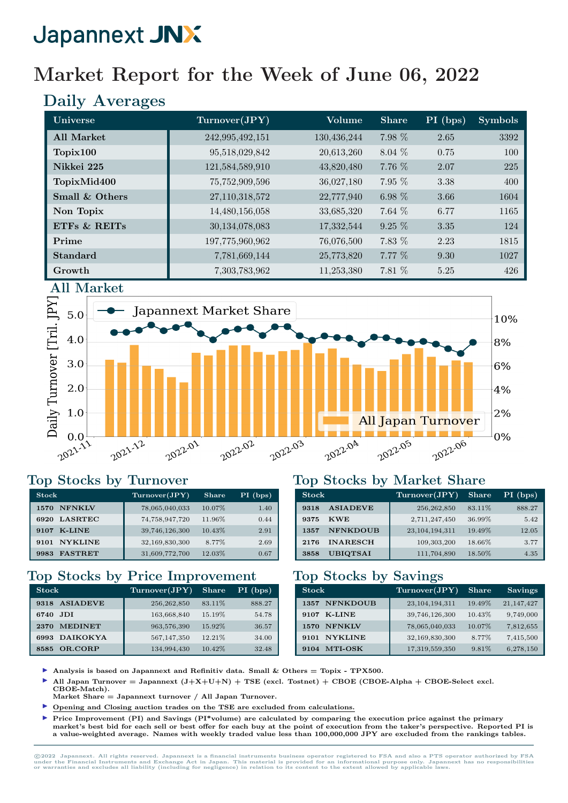## Market Report for the Week of June 06, 2022

## Daily Averages

| Universe          | Turnover(JPY)   | Volume      | <b>Share</b> | PI (bps) | <b>Symbols</b> |
|-------------------|-----------------|-------------|--------------|----------|----------------|
| <b>All Market</b> | 242,995,492,151 | 130,436,244 | 7.98 %       | 2.65     | 3392           |
| Topix100          | 95,518,029,842  | 20,613,260  | $8.04\%$     | 0.75     | 100            |
| Nikkei 225        | 121,584,589,910 | 43,820,480  | 7.76 %       | 2.07     | 225            |
| TopixMid400       | 75,752,909,596  | 36,027,180  | $7.95\%$     | 3.38     | 400            |
| Small & Others    | 27,110,318,572  | 22,777,940  | 6.98 $%$     | 3.66     | 1604           |
| Non Topix         | 14,480,156,058  | 33,685,320  | 7.64 %       | 6.77     | 1165           |
| ETFS & REITS      | 30,134,078,083  | 17,332,544  | $9.25\%$     | 3.35     | 124            |
| Prime             | 197,775,960,962 | 76,076,500  | 7.83 %       | 2.23     | 1815           |
| <b>Standard</b>   | 7,781,669,144   | 25,773,820  | $7.77\%$     | 9.30     | 1027           |
| Growth            | 7,303,783,962   | 11,253,380  | 7.81 %       | 5.25     | 426            |





#### Top Stocks by Turnover

| <b>Stock</b>           | Turnover(JPY)  | Share  | $PI$ (bps) |
|------------------------|----------------|--------|------------|
| <b>NFNKLV</b><br>1570  | 78,065,040,033 | 10.07% | 1.40       |
| <b>LASRTEC</b><br>6920 | 74,758,947,720 | 11.96% | 0.44       |
| <b>K-LINE</b><br>9107  | 39,746,126,300 | 10.43% | 2.91       |
| <b>NYKLINE</b><br>9101 | 32,169,830,300 | 8.77%  | 2.69       |
| <b>FASTRET</b><br>9983 | 31,609,772,700 | 12.03% | 0.67       |

#### Top Stocks by Price Improvement

| <b>Stock</b>            | Turnover(JPY) | <b>Share</b> | $PI$ (bps) |
|-------------------------|---------------|--------------|------------|
| <b>ASIADEVE</b><br>9318 | 256, 262, 850 | 83.11%       | 888.27     |
| JDI.<br>6740            | 163,668,840   | 15.19%       | 54.78      |
| <b>MEDINET</b><br>2370  | 963,576,390   | 15.92%       | 36.57      |
| <b>DAIKOKYA</b><br>6993 | 567,147,350   | 12.21%       | 34.00      |
| OR.CORP<br>8585         | 134,994,430   | 10.42%       | 32.48      |

#### Top Stocks by Market Share

| <b>Stock</b> |                 | Turnover(JPY)     | <b>Share</b> | $PI$ (bps) |
|--------------|-----------------|-------------------|--------------|------------|
| 9318         | <b>ASIADEVE</b> | 256,262,850       | 83.11\%      | 888.27     |
| 9375         | <b>KWE</b>      | 2,711,247,450     | 36.99%       | 5.42       |
| 1357         | <b>NFNKDOUB</b> | 23, 104, 194, 311 | 19.49%       | 12.05      |
| 2176         | <b>INARESCH</b> | 109,303,200       | 18.66%       | 3.77       |
| 3858         | <b>UBIQTSAI</b> | 111,704,890       | 18.50%       | 4.35       |

#### Top Stocks by Savings

| <b>Stock</b>            | Turnover(JPY)     | <b>Share</b> | <b>Savings</b> |
|-------------------------|-------------------|--------------|----------------|
| <b>NFNKDOUB</b><br>1357 | 23, 104, 194, 311 | 19.49%       | 21, 147, 427   |
| <b>K-LINE</b><br>9107   | 39,746,126,300    | 10.43%       | 9,749,000      |
| <b>NFNKLV</b><br>1570   | 78,065,040,033    | 10.07%       | 7,812,655      |
| <b>NYKLINE</b><br>9101  | 32,169,830,300    | 8.77%        | 7,415,500      |
| MTI-OSK<br>9104         | 17,319,559,350    | 9.81%        | 6,278,150      |

- Analysis is based on Japannext and Refinitiv data. Small  $\&$  Others = Topix TPX500.
- All Japan Turnover = Japannext  $(J+X+U+N)$  + TSE (excl. Tostnet) + CBOE (CBOE-Alpha + CBOE-Select excl.
- CBOE-Match). Market Share = Japannext turnover / All Japan Turnover.
- I Opening and Closing auction trades on the TSE are excluded from calculations.
- I Price Improvement (PI) and Savings (PI\*volume) are calculated by comparing the execution price against the primary market's best bid for each sell or best offer for each buy at the point of execution from the taker's perspective. Reported PI is a value-weighted average. Names with weekly traded value less than 100,000,000 JPY are excluded from the rankings tables.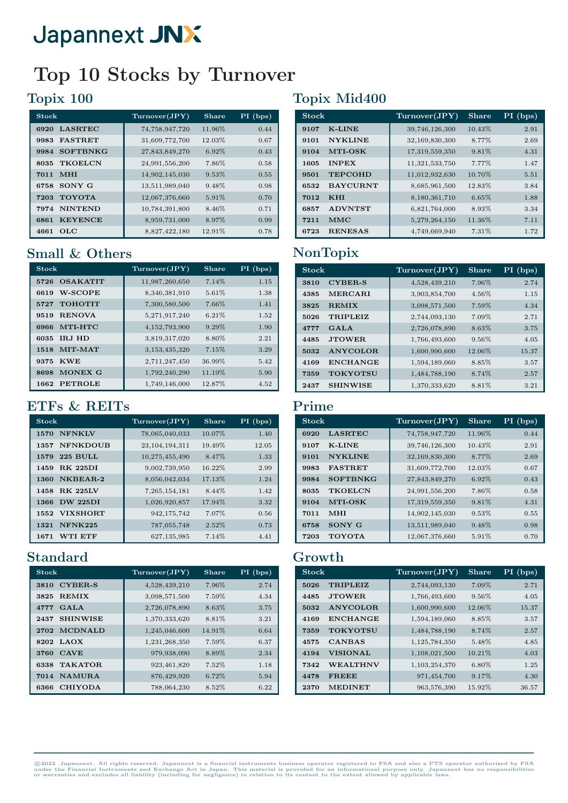## Top 10 Stocks by Turnover

## Topix 100

| <b>Stock</b>            | Turnover(JPY)  | <b>Share</b> | $PI$ (bps) |
|-------------------------|----------------|--------------|------------|
| <b>LASRTEC</b><br>6920  | 74,758,947,720 | 11.96%       | 0.44       |
| <b>FASTRET</b><br>9983  | 31,609,772,700 | 12.03%       | 0.67       |
| <b>SOFTBNKG</b><br>9984 | 27,843,849,270 | 6.92%        | 0.43       |
| <b>TKOELCN</b><br>8035  | 24,991,556,200 | 7.86%        | 0.58       |
| <b>MHI</b><br>7011      | 14,902,145,030 | 9.53%        | 0.55       |
| SONY G<br>6758          | 13,511,989,040 | 9.48%        | 0.98       |
| <b>TOYOTA</b><br>7203   | 12,067,376,660 | 5.91%        | 0.70       |
| <b>NINTEND</b><br>7974  | 10,784,391,800 | 8.46%        | 0.71       |
| <b>KEYENCE</b><br>6861  | 8,959,731,000  | 8.97%        | 0.99       |
| 4661<br>OLC             | 8,827,422,180  | 12.91%       | 0.78       |

#### Small & Others

| <b>Stock</b>            | Turnover(JPY)    | <b>Share</b> | $PI$ (bps) |
|-------------------------|------------------|--------------|------------|
| <b>OSAKATIT</b><br>5726 | 11,987,260,650   | 7.14%        | 1.15       |
| W-SCOPE<br>6619         | 8,346,381,910    | 5.61%        | 1.38       |
| <b>TOHOTIT</b><br>5727  | 7,300,580,500    | 7.66%        | 1.41       |
| <b>RENOVA</b><br>9519   | 5,271,917,240    | 6.21%        | 1.52       |
| MTI-HTC<br>6966         | 4,152,793,900    | 9.29%        | 1.90       |
| IRJ HD<br>6035          | 3,819,317,020    | 8.80%        | 2.21       |
| MIT-MAT<br>1518         | 3, 153, 435, 320 | 7.15%        | 3.29       |
| <b>KWE</b><br>9375      | 2,711,247,450    | 36.99%       | 5.42       |
| MONEX G<br>8698         | 1,792,240,290    | 11.19%       | 5.90       |
| <b>PETROLE</b><br>1662  | 1,749,146,000    | 12.87%       | 4.52       |

#### ETFs & REITs

| <b>Stock</b>            | Turnover(JPY)     | <b>Share</b> | $PI$ (bps) |
|-------------------------|-------------------|--------------|------------|
| <b>NFNKLV</b><br>1570   | 78,065,040,033    | 10.07%       | 1.40       |
| <b>NFNKDOUB</b><br>1357 | 23, 104, 194, 311 | 19.49%       | 12.05      |
| <b>225 BULL</b><br>1579 | 10,275,455,490    | 8.47%        | 1.33       |
| <b>RK 225DI</b><br>1459 | 9,002,739,950     | 16.22%       | 2.99       |
| NKBEAR-2<br>1360        | 8,056,042,034     | 17.13%       | 1.24       |
| <b>RK 225LV</b><br>1458 | 7, 265, 154, 181  | 8.44%        | 1.42       |
| 1366 DW 225DI           | 1,026,920,857     | 17.94%       | 3.32       |
| <b>VIXSHORT</b><br>1552 | 942,175,742       | 7.07%        | 0.56       |
| <b>NFNK225</b><br>1321  | 787,055,748       | 2.52%        | 0.73       |
| <b>WTI ETF</b><br>1671  | 627, 135, 985     | 7.14%        | 4.41       |

### Standard

| <b>Stock</b>            | Turnover(JPY) | Share  | PI (bps) |
|-------------------------|---------------|--------|----------|
| <b>CYBER-S</b><br>3810  | 4,528,439,210 | 7.96%  | 2.74     |
| <b>REMIX</b><br>3825    | 3,098,571,500 | 7.59%  | 4.34     |
| GALA<br>4777            | 2,726,078,890 | 8.63%  | 3.75     |
| <b>SHINWISE</b><br>2437 | 1,370,333,620 | 8.81%  | 3.21     |
| 2702 MCDNALD            | 1,245,046,600 | 14.91% | 6.64     |
| <b>LAOX</b><br>8202     | 1,231,268,350 | 7.59%  | 6.37     |
| <b>CAVE</b><br>3760     | 979,938,090   | 8.89%  | 2.34     |
| TAKATOR.<br>6338        | 923,461,820   | 7.52%  | 1.18     |
| <b>NAMURA</b><br>7014   | 876,429,920   | 6.72%  | 5.94     |
| <b>CHIYODA</b><br>6366  | 788,064,230   | 8.52%  | 6.22     |

## Topix Mid400

| Stock |                 | Turnover(JPY)  | <b>Share</b> | PI (bps) |
|-------|-----------------|----------------|--------------|----------|
| 9107  | <b>K-LINE</b>   | 39,746,126,300 | 10.43%       | 2.91     |
| 9101  | <b>NYKLINE</b>  | 32,169,830,300 | 8.77%        | 2.69     |
| 9104  | <b>MTI-OSK</b>  | 17,319,559,350 | 9.81%        | 4.31     |
| 1605  | <b>INPEX</b>    | 11,321,533,750 | 7.77%        | 1.47     |
| 9501  | <b>TEPCOHD</b>  | 11,012,932,630 | 10.70%       | 5.51     |
| 6532  | <b>BAYCURNT</b> | 8,685,961,500  | 12.83%       | 3.84     |
| 7012  | <b>KHI</b>      | 8,180,361,710  | 6.65%        | 1.88     |
| 6857  | <b>ADVNTST</b>  | 6,821,764,000  | 8.93%        | 3.34     |
| 7211  | <b>MMC</b>      | 5,279,264,150  | 11.36%       | 7.11     |
| 6723  | <b>RENESAS</b>  | 4,749,669,940  | 7.31%        | 1.72     |

## NonTopix

| <b>Stock</b> |                 | Turnover(JPY) | <b>Share</b> | PI (bps) |
|--------------|-----------------|---------------|--------------|----------|
| 3810         | <b>CYBER-S</b>  | 4,528,439,210 | 7.96%        | 2.74     |
| 4385         | <b>MERCARI</b>  | 3,903,854,700 | 4.56%        | 1.15     |
| 3825         | <b>REMIX</b>    | 3,098,571,500 | 7.59%        | 4.34     |
| 5026         | <b>TRIPLEIZ</b> | 2,744,093,130 | $7.09\%$     | 2.71     |
| 4777         | GAT.A           | 2,726,078,890 | 8.63%        | 3.75     |
| 4485         | <b>JTOWER</b>   | 1,766,493,600 | $9.56\%$     | 4.05     |
| 5032         | ANYCOLOR.       | 1,600,990,600 | 12.06%       | 15.37    |
| 4169         | <b>ENCHANGE</b> | 1,594,189,060 | 8.85%        | 3.57     |
| 7359         | <b>TOKYOTSU</b> | 1,484,788,190 | 8.74%        | 2.57     |
| 2437         | <b>SHINWISE</b> | 1,370,333,620 | 8.81\%       | 3.21     |

#### Prime

| <b>Stock</b> |                 | Turnover(JPY)  | <b>Share</b> | $PI$ (bps). |
|--------------|-----------------|----------------|--------------|-------------|
| 6920         | <b>LASRTEC</b>  | 74,758,947,720 | 11.96%       | 0.44        |
| 9107         | <b>K-LINE</b>   | 39,746,126,300 | 10.43%       | 2.91        |
| 9101         | <b>NYKLINE</b>  | 32,169,830,300 | 8.77%        | 2.69        |
| 9983         | <b>FASTRET</b>  | 31,609,772,700 | 12.03%       | 0.67        |
| 9984         | <b>SOFTBNKG</b> | 27,843,849,270 | 6.92%        | 0.43        |
| 8035         | <b>TKOELCN</b>  | 24,991,556,200 | 7.86%        | 0.58        |
| 9104         | <b>MTI-OSK</b>  | 17,319,559,350 | 9.81%        | 4.31        |
| 7011         | MHI             | 14,902,145,030 | 9.53%        | 0.55        |
| 6758         | SONY G          | 13,511,989,040 | 9.48%        | 0.98        |
| 7203         | <b>TOYOTA</b>   | 12,067,376,660 | 5.91%        | 0.70        |

#### Growth

| <b>Stock</b> |                 | Turnover(JPY) | <b>Share</b> | $PI$ (bps) |
|--------------|-----------------|---------------|--------------|------------|
| 5026         | <b>TRIPLEIZ</b> | 2,744,093,130 | 7.09%        | 2.71       |
| 4485         | <b>JTOWER</b>   | 1,766,493,600 | 9.56%        | 4.05       |
| 5032         | ANYCOLOR.       | 1,600,990,600 | 12.06%       | 15.37      |
| 4169         | <b>ENCHANGE</b> | 1,594,189,060 | 8.85%        | 3.57       |
| 7359         | <b>TOKYOTSU</b> | 1,484,788,190 | 8.74%        | 2.57       |
| 4575         | <b>CANBAS</b>   | 1,125,784,350 | 5.48%        | 4.85       |
| 4194         | <b>VISIONAL</b> | 1,108,021,500 | 10.21%       | 4.03       |
| 7342         | <b>WEALTHNV</b> | 1,103,254,370 | $6.80\%$     | 1.25       |
| 4478         | <b>FREEE</b>    | 971,454,700   | 9.17%        | 4.30       |
| 2370         | <b>MEDINET</b>  | 963,576,390   | 15.92%       | 36.57      |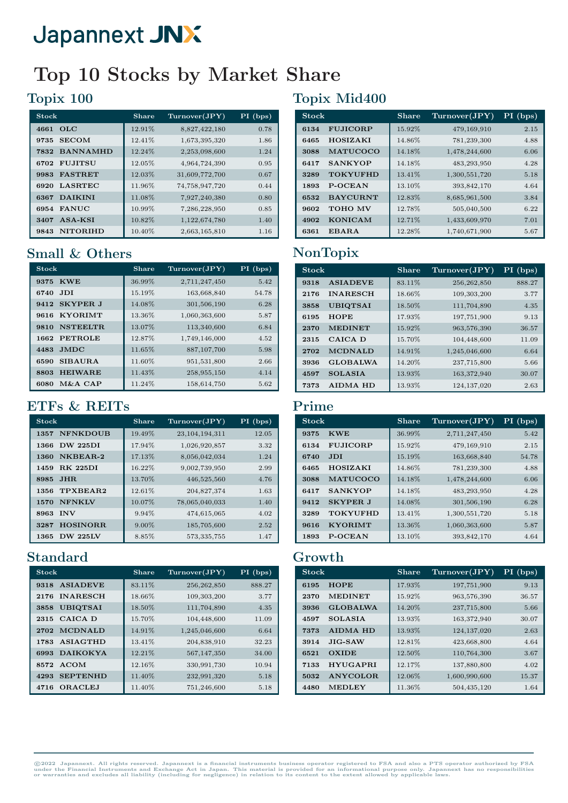## Top 10 Stocks by Market Share

## Topix 100

| <b>Stock</b>            | <b>Share</b> | Turnover(JPY)  | $PI$ (bps) |
|-------------------------|--------------|----------------|------------|
| $_{\rm OLC}$<br>4661    | 12.91%       | 8,827,422,180  | 0.78       |
| <b>SECOM</b><br>9735    | 12.41%       | 1,673,395,320  | 1.86       |
| <b>BANNAMHD</b><br>7832 | 12.24%       | 2,253,098,600  | 1.24       |
| <b>FUJITSU</b><br>6702  | 12.05%       | 4,964,724,390  | 0.95       |
| <b>FASTRET</b><br>9983  | 12.03%       | 31,609,772,700 | 0.67       |
| <b>LASRTEC</b><br>6920  | 11.96%       | 74,758,947,720 | 0.44       |
| <b>DAIKINI</b><br>6367  | 11.08%       | 7,927,240,380  | 0.80       |
| <b>FANUC</b><br>6954    | 10.99%       | 7,286,228,950  | 0.85       |
| ASA-KSI<br>3407         | 10.82%       | 1,122,674,780  | 1.40       |
| <b>NITORIHD</b><br>9843 | 10.40%       | 2,663,165,810  | 1.16       |

## Small & Others

| <b>Stock</b>             | Share  | Turnover(JPY) | PI (bps) |
|--------------------------|--------|---------------|----------|
| <b>KWE</b><br>9375       | 36.99% | 2,711,247,450 | 5.42     |
| <b>JDI</b><br>6740       | 15.19% | 163,668,840   | 54.78    |
| <b>SKYPER J</b><br>9412  | 14.08% | 301,506,190   | 6.28     |
| <b>KYORIMT</b><br>9616   | 13.36% | 1,060,363,600 | 5.87     |
| <b>NSTEELTR.</b><br>9810 | 13.07% | 113,340,600   | 6.84     |
| <b>PETROLE</b><br>1662   | 12.87% | 1,749,146,000 | 4.52     |
| <b>JMDC</b><br>4483      | 11.65% | 887, 107, 700 | 5.98     |
| <b>SIBAURA</b><br>6590   | 11.60% | 951,531,800   | 2.66     |
| <b>HEIWARE</b><br>8803   | 11.43% | 258,955,150   | 4.14     |
| $M&A$ CAP<br>6080        | 11.24% | 158,614,750   | 5.62     |

## ETFs & REITs

| <b>Stock</b>            | <b>Share</b> | Turnover(JPY)     | $PI$ (bps) |
|-------------------------|--------------|-------------------|------------|
| <b>NFNKDOUB</b><br>1357 | 19.49%       | 23, 104, 194, 311 | 12.05      |
| <b>DW 225DI</b><br>1366 | 17.94%       | 1,026,920,857     | 3.32       |
| NKBEAR-2<br>1360        | 17.13%       | 8,056,042,034     | 1.24       |
| <b>RK 225DI</b><br>1459 | 16.22%       | 9,002,739,950     | 2.99       |
| JHR.<br>8985            | 13.70%       | 446,525,560       | 4.76       |
| TPXBEAR2<br>1356        | 12.61%       | 204,827,374       | 1.63       |
| <b>NFNKLV</b><br>1570   | 10.07%       | 78,065,040,033    | 1.40       |
| <b>INV</b><br>8963      | 9.94%        | 474,615,065       | 4.02       |
| <b>HOSINORR</b><br>3287 | $9.00\%$     | 185,705,600       | 2.52       |
| <b>DW 225LV</b><br>1365 | 8.85%        | 573, 335, 755     | 1.47       |

## Standard

| <b>Stock</b>            | <b>Share</b> | Turnover(JPY) | $PI$ (bps) |
|-------------------------|--------------|---------------|------------|
| <b>ASIADEVE</b><br>9318 | 83.11%       | 256, 262, 850 | 888.27     |
| <b>INARESCH</b><br>2176 | 18.66%       | 109,303,200   | 3.77       |
| <b>UBIQTSAI</b><br>3858 | 18.50%       | 111,704,890   | 4.35       |
| CAICA D<br>2315         | 15.70%       | 104,448,600   | 11.09      |
| <b>MCDNALD</b><br>2702  | 14.91%       | 1,245,046,600 | 6.64       |
| <b>ASIAGTHD</b><br>1783 | 13.41%       | 204,838,910   | 32.23      |
| <b>DAIKOKYA</b><br>6993 | 12.21%       | 567,147,350   | 34.00      |
| 8572 ACOM               | 12.16%       | 330,991,730   | 10.94      |
| <b>SEPTENHD</b><br>4293 | 11.40%       | 232,991,320   | 5.18       |
| <b>ORACLEJ</b><br>4716  | 11.40%       | 751,246,600   | 5.18       |

## Topix Mid400

| <b>Stock</b> |                 | Share  | Turnover(JPY) | PI (bps) |
|--------------|-----------------|--------|---------------|----------|
| 6134         | <b>FUJICORP</b> | 15.92% | 479,169,910   | 2.15     |
| 6465         | <b>HOSIZAKI</b> | 14.86% | 781,239,300   | 4.88     |
| 3088         | <b>MATUCOCO</b> | 14.18% | 1,478,244,600 | 6.06     |
| 6417         | <b>SANKYOP</b>  | 14.18% | 483,293,950   | 4.28     |
| 3289         | <b>TOKYUFHD</b> | 13.41% | 1,300,551,720 | 5.18     |
| 1893         | <b>P-OCEAN</b>  | 13.10% | 393,842,170   | 4.64     |
| 6532         | <b>BAYCURNT</b> | 12.83% | 8,685,961,500 | 3.84     |
| 9602         | <b>TOHO MV</b>  | 12.78% | 505,040,500   | 6.22     |
| 4902         | <b>KONICAM</b>  | 12.71% | 1,433,609,970 | 7.01     |
| 6361         | <b>EBARA</b>    | 12.28% | 1,740,671,900 | 5.67     |

## NonTopix

| <b>Stock</b> |                 | <b>Share</b> | Turnover(JPY) | $PI$ (bps) |
|--------------|-----------------|--------------|---------------|------------|
| 9318         | <b>ASIADEVE</b> | 83.11%       | 256, 262, 850 | 888.27     |
| 2176         | <b>INARESCH</b> | 18.66%       | 109,303,200   | 3.77       |
| 3858         | <b>UBIQTSAI</b> | 18.50%       | 111,704,890   | 4.35       |
| 6195         | <b>HOPE</b>     | 17.93%       | 197,751,900   | 9.13       |
| 2370         | <b>MEDINET</b>  | 15.92%       | 963,576,390   | 36.57      |
| 2315         | CAICA D         | 15.70%       | 104,448,600   | 11.09      |
| 2702         | <b>MCDNALD</b>  | 14.91%       | 1,245,046,600 | 6.64       |
| 3936         | <b>GLOBALWA</b> | 14.20%       | 237,715,800   | 5.66       |
| 4597         | <b>SOLASIA</b>  | 13.93%       | 163,372,940   | 30.07      |
| 7373         | <b>AIDMA HD</b> | 13.93%       | 124, 137, 020 | 2.63       |

#### Prime

| <b>Stock</b>            | <b>Share</b> | Turnover(JPY) | $PI$ (bps) |
|-------------------------|--------------|---------------|------------|
| <b>KWE</b><br>9375      | 36.99%       | 2,711,247,450 | 5.42       |
| <b>FUJICORP</b><br>6134 | 15.92%       | 479,169,910   | 2.15       |
| <b>JDI</b><br>6740      | 15.19%       | 163,668,840   | 54.78      |
| <b>HOSIZAKI</b><br>6465 | 14.86%       | 781,239,300   | 4.88       |
| <b>MATUCOCO</b><br>3088 | 14.18%       | 1,478,244,600 | 6.06       |
| <b>SANKYOP</b><br>6417  | 14.18%       | 483,293,950   | 4.28       |
| <b>SKYPER J</b><br>9412 | 14.08%       | 301,506,190   | 6.28       |
| <b>TOKYUFHD</b><br>3289 | 13.41%       | 1,300,551,720 | 5.18       |
| <b>KYORIMT</b><br>9616  | 13.36%       | 1,060,363,600 | 5.87       |
| <b>P-OCEAN</b><br>1893  | 13.10%       | 393,842,170   | 4.64       |

### Growth

| <b>Stock</b> |                 | Share  | Turnover(JPY) | $PI$ (bps) |
|--------------|-----------------|--------|---------------|------------|
| 6195         | <b>HOPE</b>     | 17.93% | 197,751,900   | 9.13       |
| 2370         | <b>MEDINET</b>  | 15.92% | 963,576,390   | 36.57      |
| 3936         | <b>GLOBALWA</b> | 14.20% | 237,715,800   | 5.66       |
| 4597         | <b>SOLASIA</b>  | 13.93% | 163,372,940   | 30.07      |
| 7373         | <b>AIDMA HD</b> | 13.93% | 124, 137, 020 | 2.63       |
| 3914         | $JIG-SAW$       | 12.81% | 423,668,800   | 4.64       |
| 6521         | <b>OXIDE</b>    | 12.50% | 110,764,300   | 3.67       |
| 7133         | <b>HYUGAPRI</b> | 12.17% | 137,880,800   | 4.02       |
| 5032         | ANYCOLOR.       | 12.06% | 1,600,990,600 | 15.37      |
| 4480         | <b>MEDLEY</b>   | 11.36% | 504,435,120   | 1.64       |